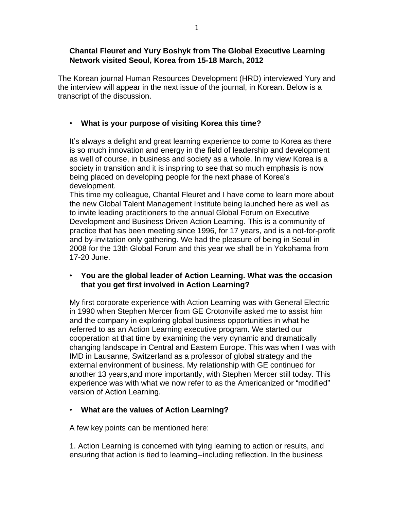### **Chantal Fleuret and Yury Boshyk from The Global Executive Learning Network visited Seoul, Korea from 15-18 March, 2012**

The Korean journal Human Resources Development (HRD) interviewed Yury and the interview will appear in the next issue of the journal, in Korean. Below is a transcript of the discussion.

# • **What is your purpose of visiting Korea this time?**

It's always a delight and great learning experience to come to Korea as there is so much innovation and energy in the field of leadership and development as well of course, in business and society as a whole. In my view Korea is a society in transition and it is inspiring to see that so much emphasis is now being placed on developing people for the next phase of Korea's development.

This time my colleague, Chantal Fleuret and I have come to learn more about the new Global Talent Management Institute being launched here as well as to invite leading practitioners to the annual Global Forum on Executive Development and Business Driven Action Learning. This is a community of practice that has been meeting since 1996, for 17 years, and is a not-for-profit and by-invitation only gathering. We had the pleasure of being in Seoul in 2008 for the 13th Global Forum and this year we shall be in Yokohama from 17-20 June.

## • **You are the global leader of Action Learning. What was the occasion that you get first involved in Action Learning?**

My first corporate experience with Action Learning was with General Electric in 1990 when Stephen Mercer from GE Crotonville asked me to assist him and the company in exploring global business opportunities in what he referred to as an Action Learning executive program. We started our cooperation at that time by examining the very dynamic and dramatically changing landscape in Central and Eastern Europe. This was when I was with IMD in Lausanne, Switzerland as a professor of global strategy and the external environment of business. My relationship with GE continued for another 13 years,and more importantly, with Stephen Mercer still today. This experience was with what we now refer to as the Americanized or "modified" version of Action Learning.

# • **What are the values of Action Learning?**

A few key points can be mentioned here:

1. Action Learning is concerned with tying learning to action or results, and ensuring that action is tied to learning--including reflection. In the business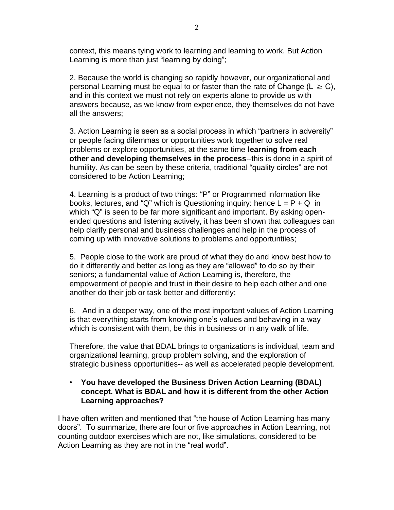context, this means tying work to learning and learning to work. But Action Learning is more than just "learning by doing";

2. Because the world is changing so rapidly however, our organizational and personal Learning must be equal to or faster than the rate of Change ( $L \ge C$ ), and in this context we must not rely on experts alone to provide us with answers because, as we know from experience, they themselves do not have all the answers;

3. Action Learning is seen as a social process in which "partners in adversity" or people facing dilemmas or opportunities work together to solve real problems or explore opportunities, at the same time **learning from each other and developing themselves in the process**--this is done in a spirit of humility. As can be seen by these criteria, traditional "quality circles" are not considered to be Action Learning;

4. Learning is a product of two things: "P" or Programmed information like books, lectures, and "Q" which is Questioning inquiry: hence  $L = P + Q$  in which "Q" is seen to be far more significant and important. By asking openended questions and listening actively, it has been shown that colleagues can help clarify personal and business challenges and help in the process of coming up with innovative solutions to problems and opportuntiies;

5. People close to the work are proud of what they do and know best how to do it differently and better as long as they are "allowed" to do so by their seniors; a fundamental value of Action Learning is, therefore, the empowerment of people and trust in their desire to help each other and one another do their job or task better and differently;

6. And in a deeper way, one of the most important values of Action Learning is that everything starts from knowing one's values and behaving in a way which is consistent with them, be this in business or in any walk of life.

Therefore, the value that BDAL brings to organizations is individual, team and organizational learning, group problem solving, and the exploration of strategic business opportunities-- as well as accelerated people development.

### • **You have developed the Business Driven Action Learning (BDAL) concept. What is BDAL and how it is different from the other Action Learning approaches?**

I have often written and mentioned that "the house of Action Learning has many doors". To summarize, there are four or five approaches in Action Learning, not counting outdoor exercises which are not, like simulations, considered to be Action Learning as they are not in the "real world".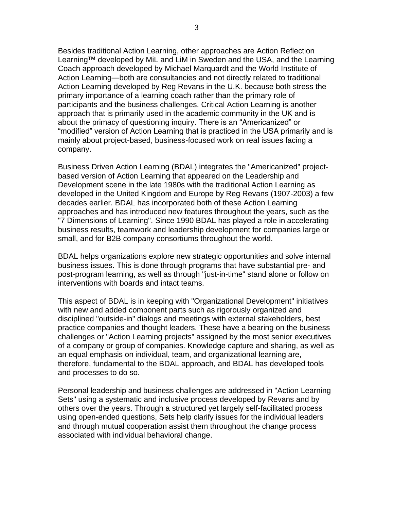Besides traditional Action Learning, other approaches are Action Reflection Learning™ developed by MiL and LiM in Sweden and the USA, and the Learning Coach approach developed by Michael Marquardt and the World Institute of Action Learning—both are consultancies and not directly related to traditional Action Learning developed by Reg Revans in the U.K. because both stress the primary importance of a learning coach rather than the primary role of participants and the business challenges. Critical Action Learning is another approach that is primarily used in the academic community in the UK and is about the primacy of questioning inquiry. There is an "Americanized" or "modified" version of Action Learning that is practiced in the USA primarily and is mainly about project-based, business-focused work on real issues facing a company.

Business Driven Action Learning (BDAL) integrates the "Americanized" projectbased version of Action Learning that appeared on the Leadership and Development scene in the late 1980s with the traditional Action Learning as developed in the United Kingdom and Europe by Reg Revans (1907-2003) a few decades earlier. BDAL has incorporated both of these Action Learning approaches and has introduced new features throughout the years, such as the "7 Dimensions of Learning". Since 1990 BDAL has played a role in accelerating business results, teamwork and leadership development for companies large or small, and for B2B company consortiums throughout the world.

BDAL helps organizations explore new strategic opportunities and solve internal business issues. This is done through programs that have substantial pre- and post-program learning, as well as through "just-in-time" stand alone or follow on interventions with boards and intact teams.

This aspect of BDAL is in keeping with "Organizational Development" initiatives with new and added component parts such as rigorously organized and disciplined "outside-in" dialogs and meetings with external stakeholders, best practice companies and thought leaders. These have a bearing on the business challenges or "Action Learning projects" assigned by the most senior executives of a company or group of companies. Knowledge capture and sharing, as well as an equal emphasis on individual, team, and organizational learning are, therefore, fundamental to the BDAL approach, and BDAL has developed tools and processes to do so.

Personal leadership and business challenges are addressed in "Action Learning Sets" using a systematic and inclusive process developed by Revans and by others over the years. Through a structured yet largely self-facilitated process using open-ended questions, Sets help clarify issues for the individual leaders and through mutual cooperation assist them throughout the change process associated with individual behavioral change.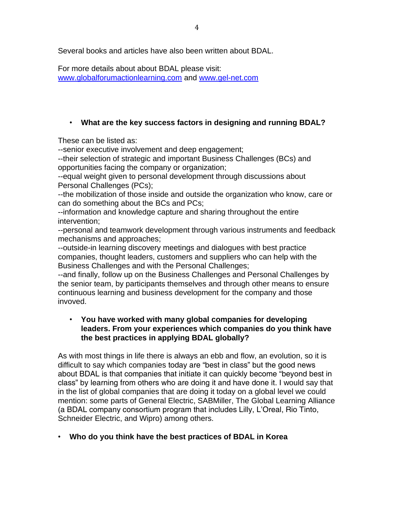Several books and articles have also been written about BDAL.

For more details about about BDAL please visit: [www.globalforumactionlearning.com](http://www.globalforumactionlearning.com/) and [www.gel-net.com](http://www.gel-net.com/)

# • **What are the key success factors in designing and running BDAL?**

These can be listed as:

--senior executive involvement and deep engagement;

--their selection of strategic and important Business Challenges (BCs) and opportunities facing the company or organization;

--equal weight given to personal development through discussions about Personal Challenges (PCs);

--the mobilization of those inside and outside the organization who know, care or can do something about the BCs and PCs;

--information and knowledge capture and sharing throughout the entire intervention;

--personal and teamwork development through various instruments and feedback mechanisms and approaches;

--outside-in learning discovery meetings and dialogues with best practice companies, thought leaders, customers and suppliers who can help with the Business Challenges and with the Personal Challenges;

--and finally, follow up on the Business Challenges and Personal Challenges by the senior team, by participants themselves and through other means to ensure continuous learning and business development for the company and those invoved.

## • **You have worked with many global companies for developing leaders. From your experiences which companies do you think have the best practices in applying BDAL globally?**

As with most things in life there is always an ebb and flow, an evolution, so it is difficult to say which companies today are "best in class" but the good news about BDAL is that companies that initiate it can quickly become "beyond best in class" by learning from others who are doing it and have done it. I would say that in the list of global companies that are doing it today on a global level we could mention: some parts of General Electric, SABMiller, The Global Learning Alliance (a BDAL company consortium program that includes Lilly, L'Oreal, Rio Tinto, Schneider Electric, and Wipro) among others.

# • **Who do you think have the best practices of BDAL in Korea**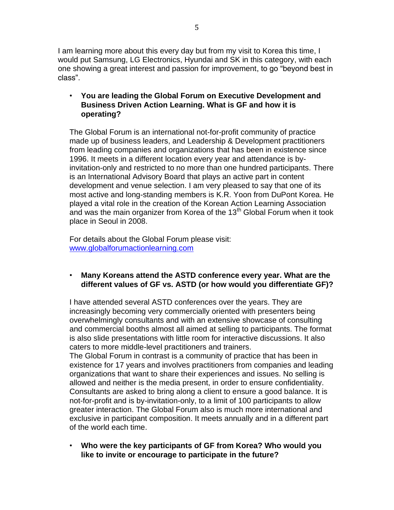I am learning more about this every day but from my visit to Korea this time, I would put Samsung, LG Electronics, Hyundai and SK in this category, with each one showing a great interest and passion for improvement, to go "beyond best in class".

## • **You are leading the Global Forum on Executive Development and Business Driven Action Learning. What is GF and how it is operating?**

The Global Forum is an international not-for-profit community of practice made up of business leaders, and Leadership & Development practitioners from leading companies and organizations that has been in existence since 1996. It meets in a different location every year and attendance is byinvitation-only and restricted to no more than one hundred participants. There is an International Advisory Board that plays an active part in content development and venue selection. I am very pleased to say that one of its most active and long-standing members is K.R. Yoon from DuPont Korea. He played a vital role in the creation of the Korean Action Learning Association and was the main organizer from Korea of the  $13<sup>th</sup>$  Global Forum when it took place in Seoul in 2008.

For details about the Global Forum please visit: [www.globalforumactionlearning.com](http://www.globalforumactionlearning.com/)

# • **Many Koreans attend the ASTD conference every year. What are the different values of GF vs. ASTD (or how would you differentiate GF)?**

I have attended several ASTD conferences over the years. They are increasingly becoming very commercially oriented with presenters being overwhelmingly consultants and with an extensive showcase of consulting and commercial booths almost all aimed at selling to participants. The format is also slide presentations with little room for interactive discussions. It also caters to more middle-level practitioners and trainers.

The Global Forum in contrast is a community of practice that has been in existence for 17 years and involves practitioners from companies and leading organizations that want to share their experiences and issues. No selling is allowed and neither is the media present, in order to ensure confidentiality. Consultants are asked to bring along a client to ensure a good balance. It is not-for-profit and is by-invitation-only, to a limit of 100 participants to allow greater interaction. The Global Forum also is much more international and exclusive in participant composition. It meets annually and in a different part of the world each time.

• **Who were the key participants of GF from Korea? Who would you like to invite or encourage to participate in the future?**